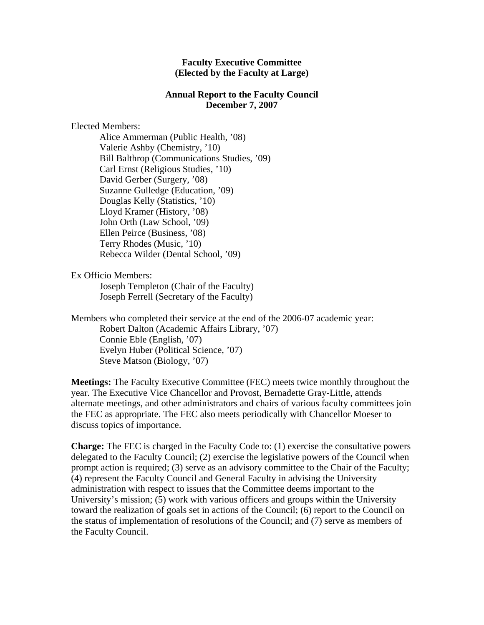## **Faculty Executive Committee (Elected by the Faculty at Large)**

## **Annual Report to the Faculty Council December 7, 2007**

## Elected Members:

Alice Ammerman (Public Health, '08) Valerie Ashby (Chemistry, '10) Bill Balthrop (Communications Studies, '09) Carl Ernst (Religious Studies, '10) David Gerber (Surgery, '08) Suzanne Gulledge (Education, '09) Douglas Kelly (Statistics, '10) Lloyd Kramer (History, '08) John Orth (Law School, '09) Ellen Peirce (Business, '08) Terry Rhodes (Music, '10) Rebecca Wilder (Dental School, '09)

## Ex Officio Members:

Joseph Templeton (Chair of the Faculty) Joseph Ferrell (Secretary of the Faculty)

Members who completed their service at the end of the 2006-07 academic year: Robert Dalton (Academic Affairs Library, '07) Connie Eble (English, '07) Evelyn Huber (Political Science, '07) Steve Matson (Biology, '07)

**Meetings:** The Faculty Executive Committee (FEC) meets twice monthly throughout the year. The Executive Vice Chancellor and Provost, Bernadette Gray-Little, attends alternate meetings, and other administrators and chairs of various faculty committees join the FEC as appropriate. The FEC also meets periodically with Chancellor Moeser to discuss topics of importance.

**Charge:** The FEC is charged in the Faculty Code to: (1) exercise the consultative powers delegated to the Faculty Council; (2) exercise the legislative powers of the Council when prompt action is required; (3) serve as an advisory committee to the Chair of the Faculty; (4) represent the Faculty Council and General Faculty in advising the University administration with respect to issues that the Committee deems important to the University's mission; (5) work with various officers and groups within the University toward the realization of goals set in actions of the Council; (6) report to the Council on the status of implementation of resolutions of the Council; and (7) serve as members of the Faculty Council.